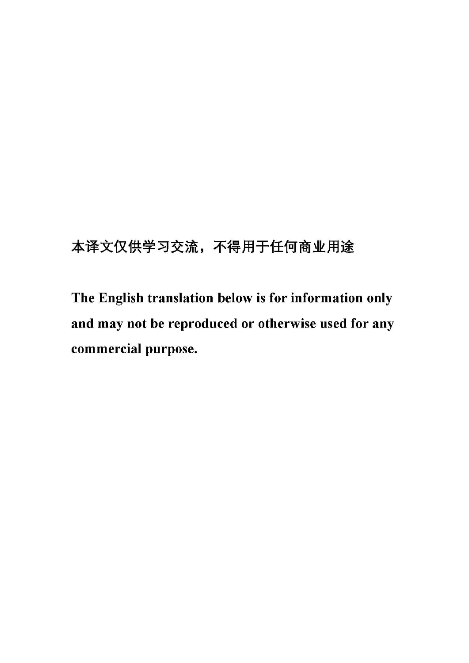# 本译文仅供学习交流, 不得用于任何商业用途

The English translation below is for information only and may not be reproduced or otherwise used for any commercial purpose.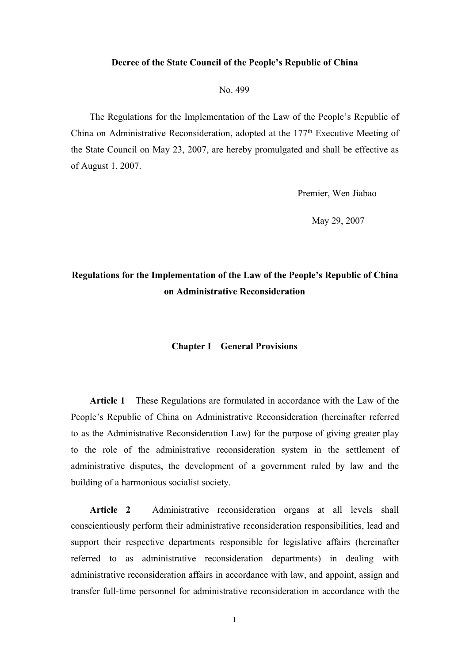#### **Decree of the State Council of the People's Republic of China**

No. 499

The Regulations for the Implementation of the Law of the People's Republic of China on Administrative Reconsideration, adopted at the 177 th Executive Meeting of the State Council on May 23, 2007, are hereby promulgated and shall be effective as of August 1, 2007.

Premier, Wen Jiabao

May 29, 2007

### **Regulations for the Implementation of the Law of the People's Republic of China on Administrative Reconsideration**

#### **Chapter I General Provisions**

**Article 1** These Regulations are formulated in accordance with the Law of the People's Republic of China on Administrative Reconsideration (hereinafter referred to as the Administrative Reconsideration Law) for the purpose of giving greater play to the role of the administrative reconsideration system in the settlement of administrative disputes, the development of a government ruled by law and the building of a harmonious socialist society.

**Article 2** Administrative reconsideration organs at all levels shall conscientiously perform their administrative reconsideration responsibilities, lead and support their respective departments responsible for legislative affairs (hereinafter referred to as administrative reconsideration departments) in dealing with administrative reconsideration affairs in accordance with law, and appoint, assign and transfer full-time personnel for administrative reconsideration in accordance with the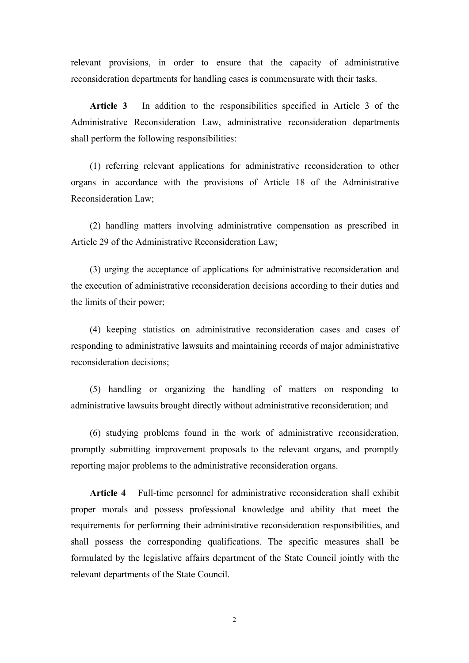relevant provisions, in order to ensure that the capacity of administrative reconsideration departments for handling cases is commensurate with their tasks.

**Article 3** In addition to the responsibilities specified in Article 3 of the Administrative Reconsideration Law, administrative reconsideration departments shall perform the following responsibilities:

(1) referring relevant applications for administrative reconsideration to other organs in accordance with the provisions of Article 18 of the Administrative Reconsideration Law;

(2) handling matters involving administrative compensation as prescribed in Article 29 of the Administrative Reconsideration Law;

(3) urging the acceptance of applications for administrative reconsideration and the execution of administrative reconsideration decisions according to their duties and the limits of their power;

(4) keeping statistics on administrative reconsideration cases and cases of responding to administrative lawsuits and maintaining records of major administrative reconsideration decisions;

(5) handling or organizing the handling of matters on responding to administrative lawsuits brought directly without administrative reconsideration; and

(6) studying problems found in the work of administrative reconsideration, promptly submitting improvement proposals to the relevant organs, and promptly reporting major problems to the administrative reconsideration organs.

**Article 4** Full-time personnel for administrative reconsideration shall exhibit proper morals and possess professional knowledge and ability that meet the requirements for performing their administrative reconsideration responsibilities, and shall possess the corresponding qualifications. The specific measures shall be formulated by the legislative affairs department of the State Council jointly with the relevant departments of the State Council.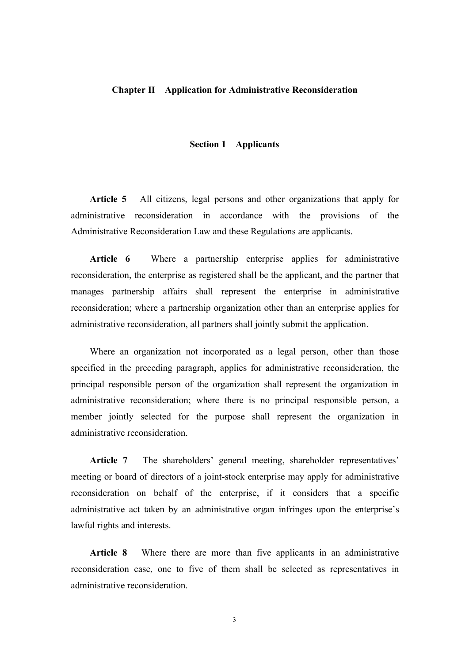#### **Chapter II** Application for Administrative Reconsideration

#### **Section 1 Applicants**

**Article 5** All citizens, legal persons and other organizations that apply for administrative reconsideration in accordance with the provisions of the Administrative Reconsideration Law and these Regulations are applicants.

**Article 6** Where a partnership enterprise applies for administrative reconsideration, the enterprise as registered shall be the applicant, and the partner that manages partnership affairs shall represent the enterprise in administrative reconsideration; where a partnership organization other than an enterprise applies for administrative reconsideration, all partners shall jointly submit the application.

Where an organization not incorporated as a legal person, other than those specified in the preceding paragraph, applies for administrative reconsideration, the principal responsible person of the organization shall represent the organization in administrative reconsideration; where there is no principal responsible person, a member jointly selected for the purpose shall represent the organization in administrative reconsideration.

Article 7 The shareholders' general meeting, shareholder representatives' meeting or board of directors of a joint-stock enterprise may apply for administrative reconsideration on behalf of the enterprise, if it considers that a specific administrative act taken by an administrative organ infringes upon the enterprise's lawful rights and interests.

**Article 8** Where there are more than five applicants in an administrative reconsideration case, one to five of them shall be selected as representatives in administrative reconsideration.

3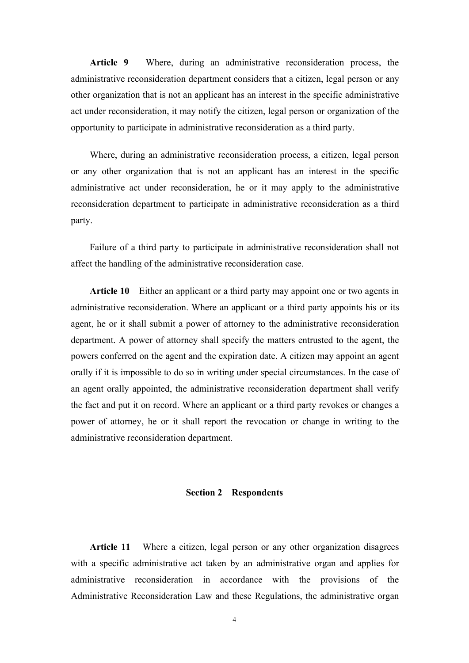Article 9 Where, during an administrative reconsideration process, the administrative reconsideration department considers that a citizen, legal person or any other organization that is notan applicant has an interest in the specific administrative act under reconsideration, it may notify the citizen, legal person or organization of the opportunity to participate in administrative reconsideration as a third party.

Where, during an administrative reconsideration process, a citizen, legal person or any other organization that is not an applicant has an interest in the specific administrative act under reconsideration, he or itmay apply to the administrative reconsideration department to participate in administrative reconsideration as a third party.<br>Failure of a third party to participate in administrative reconsideration shall not

affect the handling of the administrative reconsideration case.

**Article 10** Either an applicant or a third party may appoint one or two agents in administrative reconsideration. Where an applicant or a third party appoints his or its agent, he or it shall submit a power of attorney to the administrative reconsideration department. A power of attorney shall specify the matters entrusted to the agent, the powers conferred on the agent and the expiration date. A citizen may appoint an agent orally if it is impossible to do so in writing under special circumstances. In the case of an agent orally appointed, the administrative reconsideration department shall verify the fact and put it on record. Where an applicant or a third party revokes or changes a power of attorney, he or it shall report the revocation or change in writing to the administrative reconsideration department.

#### **Section 2 Respondents**

**Article 11** Where a citizen, legal person or any other organization disagrees with a specific administrative act taken by an administrative organ and applies for administrative reconsideration in accordance with the provisions of the Administrative Reconsideration Law and these Regulations, the administrative organ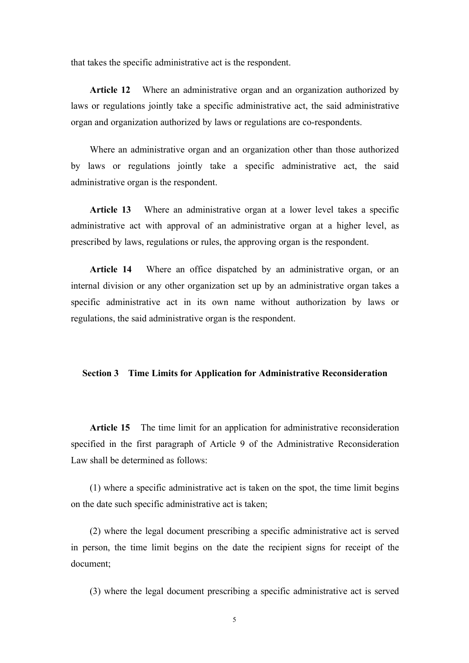that takes the specific administrative act is the respondent.

**Article 12** Where an administrative organ and an organization authorized by laws or regulations jointly take a specific administrative act, the said administrative organ and organization authorized by lawsorregulations are co-respondents.

Where an administrative organ and an organization other than those authorized by laws or regulations jointly take a specific administrative act, the said administrative organ is the respondent.

**Article 13** Where an administrative organ at a lower level takes a specific administrative act with approval of an administrative organ at a higher level, as prescribed by laws, regulations orrules, the approving organ is the respondent.

**Article 14** Where an office dispatched by an administrative organ, or an internal division or any other organization set up by an administrative organ takes a specific administrative act in its own name without authorization by laws or regulations, the said administrative organ is the respondent.

#### **Section 3 Time Limits for Application for Administrative Reconsideration**

**Article 15** The time limit for an application for administrative reconsideration specified in the first paragraph of Article 9 of the Administrative Reconsideration Law shall be determined as follows:

(1) where a specific administrative act is taken on the spot, the time limit begins on the date such specific administrative act is taken;

(2) where the legal document prescribing a specific administrative act is served in person, the time limit begins on the date the recipient signs for receipt of the document;

(3) where the legal document prescribing a specific administrative act is served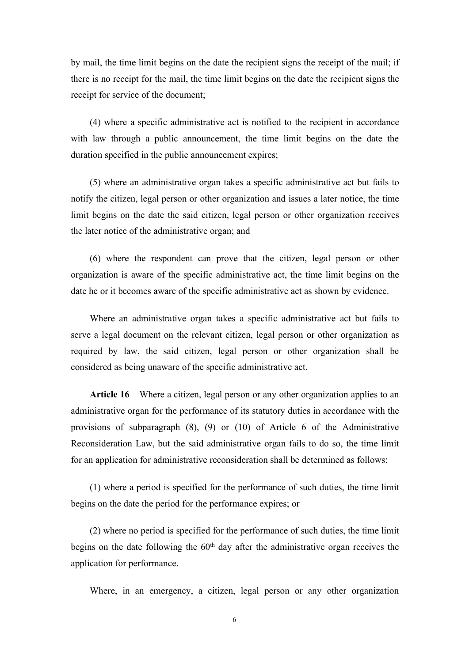by mail, the time limit begins on the date the recipient signs the receipt of the mail; if there is no receipt for the mail, the time limit begins on the date the recipient signs the receipt for service of the document;

(4) where a specific administrative act is notified to the recipient in accordance with law through a public announcement, the time limit begins on the date the duration specified in the public announcement expires;

(5) where an administrative organ takes a specific administrative act but fails to notify the citizen, legal person or other organization and issues a later notice, the time limit begins on the date the said citizen, legal person or other organization receives the later notice of the administrative organ; and

(6) where the respondent can prove that the citizen, legal person or other organization is aware of the specific administrative act, the time limit begins on the date he or it becomes aware of the specific administrative act as shown by evidence.

Where an administrative organ takes a specific administrative act but fails to serve a legal document on the relevant citizen, legal person or other organization as required by law, the said citizen, legal person or other organization shall be considered as being unaware of the specific administrative act.

**Article 16** Where a citizen, legal person or any other organization applies to an administrative organ for the performance of its statutory duties in accordance with the provisions of subparagraph (8), (9) or (10) of Article 6 of the Administrative Reconsideration Law, but the said administrative organ fails to do so, the time limit for an application for administrative reconsideration shall be determined as follows:

(1) where a period is specified for the performance of such duties, the time limit begins on the date the period for the performance expires; or

(2) where no period is specified for the performance of such duties, the time limit begins on the date following the  $60<sup>th</sup>$  day after the administrative organ receives the application for performance.

Where, in an emergency, a citizen, legal person or any other organization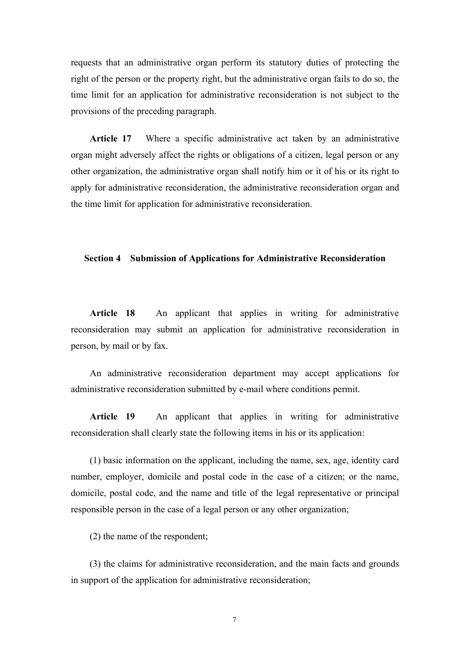requests that an administrative organ perform its statutory duties of protecting the right of the person or the property right, but the administrative organ fails to do so, the time limit for an application for administrative reconsideration is not subject to the provisions of the preceding paragraph.

**Article 17** Where a specific administrative act taken by an administrative organ might adversely affect the rights or obligations of a citizen, legal person or any other organization, the administrative organ shall notify him or it of his or its right to apply for administrative reconsideration, the administrative reconsideration organ and the time limit for application for administrative reconsideration.

#### **Section 4 Submission of Applications for Administrative Reconsideration**

**Article 18** An applicant that applies in writing for administrative reconsideration may submit an application for administrative reconsideration in person, by mail or by fax.

An administrative reconsideration department may accept applications for administrative reconsideration submitted by e-mail where conditions permit.

**Article 19** An applicant that applies in writing for administrative reconsideration shall clearly state the following items in his or its application:

(1) basic information on the applicant, including the name, sex, age, identity card number, employer, domicile and postal code in the case of a citizen; or the name, domicile, postal code, and the name and title of the legal representative or principal responsible person in the case of a legal person or any other organization;

(2) the name of the respondent;

(3) the claims for administrative reconsideration, and the main facts and grounds in support of the application for administrative reconsideration;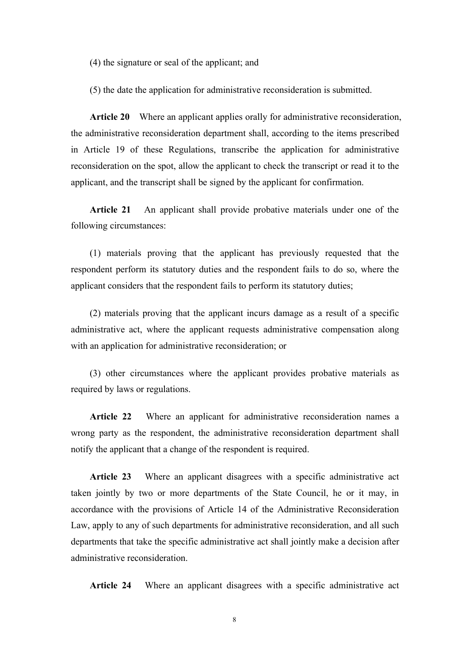(4) the signature or seal of the applicant; and

(5) the date the application for administrative reconsideration is submitted.

**Article 20** Where an applicant applies orally for administrative reconsideration, the administrative reconsideration department shall, according to the items prescribed in Article 19 of these Regulations, transcribe the application for administrative reconsideration on the spot, allow the applicant to check the transcript or read it to the applicant, and the transcript shall be signed by the applicant for confirmation.

**Article 21** An applicant shall provide probative materials under one of the following circumstances:

(1) materials proving that the applicant has previously requested that the respondent perform its statutory duties and the respondent fails to do so, where the applicant considers that the respondent fails to perform its statutory duties;

(2) materials proving that the applicant incurs damage as a result of a specific administrative act, where the applicant requests administrative compensation along with an application for administrative reconsideration; or

(3) other circumstances where the applicant provides probative materials as required by laws or regulations.

**Article 22** Where an applicant for administrative reconsideration names a wrong party as the respondent, the administrative reconsideration department shall notify the applicant that a change of the respondent is required.

**Article 23** Where an applicant disagrees with a specific administrative act taken jointly by two or more departments of the State Council, he or it may, in accordance with the provisions of Article 14 of the Administrative Reconsideration Law, apply to any of such departments for administrative reconsideration, and all such departments that take the specific administrative act shall jointly make a decision after administrative reconsideration.

**Article 24** Where an applicant disagrees with a specific administrative act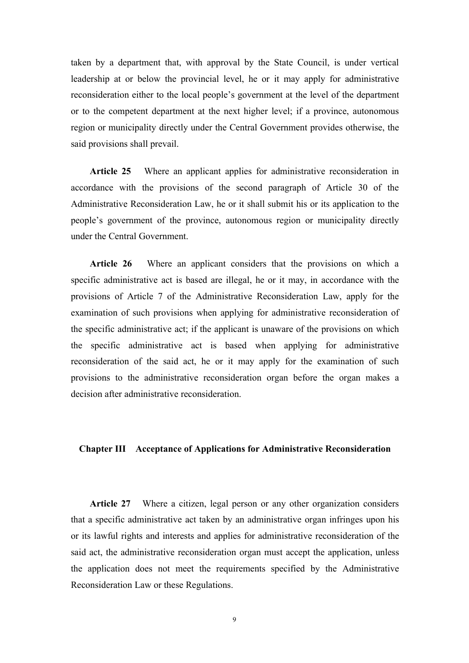taken by a department that, with approval by the State Council, is under vertical leadership at or below the provincial level, he or it may apply for administrative reconsideration either to the local people's government at the level of the department or to the competent department at the next higher level; if a province, autonomous region or municipality directly under the Central Government provides otherwise, the said provisions shall prevail.

**Article 25** Where an applicant applies for administrative reconsideration in accordance with the provisions of the second paragraph of Article 30 of the Administrative Reconsideration Law, he or it shall submit his or its application to the people's government of the province, autonomous region or municipality directly under the Central Government.

Article 26 Where an applicant considers that the provisions on which a specific administrative act is based are illegal, he or it may, in accordance with the provisions of Article 7 of the Administrative Reconsideration Law, apply for the examination of such provisions when applying for administrative reconsideration of the specific administrative act; if the applicant is unaware of the provisions on which the specific administrative act is based when applying for administrative reconsideration of the said act, he or it may apply for the examination of such provisions to the administrative reconsideration organ before the organ makes a decision after administrative reconsideration.

#### **Chapter III Acceptance of Applications for Administrative Reconsideration**

**Article 27** Where a citizen, legal person or any other organization considers that a specific administrative act taken by an administrative organ infringes upon his or its lawful rights and interests and applies for administrative reconsideration of the said act, the administrative reconsideration organ must accept the application, unless the application does not meet the requirements specified by the Administrative Reconsideration Law or these Regulations.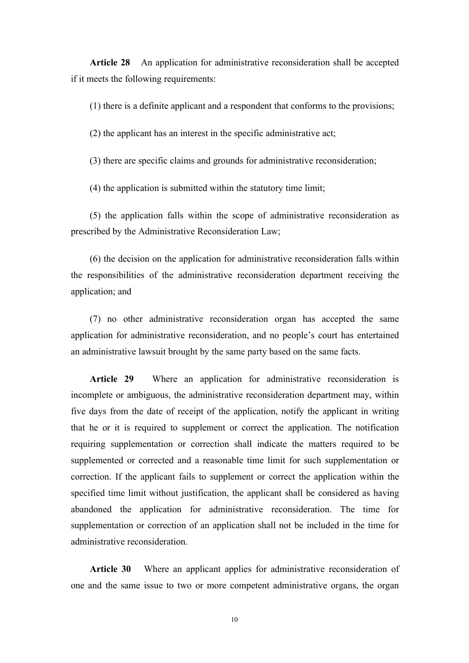**Article 28** An application for administrative reconsideration shall be accepted if it meets the following requirements:

(1) there is a definite applicant and a respondent that conforms to the provisions;

(2) the applicant has an interest in the specific administrative act;

(3) there are specific claims and grounds for administrative reconsideration;

(4) the application is submitted within the statutory time limit;

(5) the application falls within the scope of administrative reconsideration as prescribed by the Administrative Reconsideration Law;

(6) the decision on the application for administrative reconsideration falls within the responsibilities of the administrative reconsideration department receiving the application; and

(7) no other administrative reconsideration organ has accepted the same application for administrative reconsideration, and no people's court has entertained an administrative lawsuit brought by the same party based on the same facts.

**Article 29** Where an application for administrative reconsideration is incomplete or ambiguous, the administrative reconsideration department may, within five days from the date of receipt of the application, notify the applicant in writing that he or it is required to supplement or correct the application. The notification requiring supplementation or correction shall indicate the matters required to be supplemented or corrected and a reasonable time limit for such supplementation or correction. If the applicant fails to supplement or correct the application within the specified time limit without justification, the applicant shall be considered as having abandoned the application for administrative reconsideration. The time for supplementation or correction of an application shall not be included in the time for administrative reconsideration.

**Article 30** Where an applicant applies for administrative reconsideration of one and the same issue to two or more competent administrative organs, the organ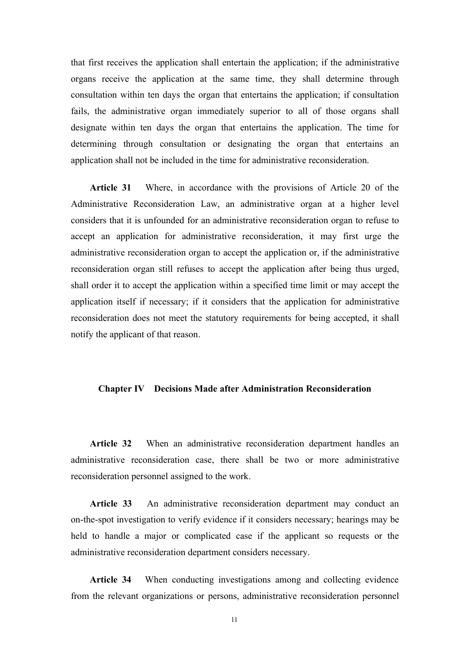that first receives the application shall entertain the application; if the administrative organs receive the application at the same time, they shall determine through consultation within ten days the organ that entertains the application; if consultation fails, the administrative organ immediately superior to all of those organs shall designate within ten days the organ that entertains the application. The time for determining through consultation or designating the organ that entertains an application shall not be included in the time for administrative reconsideration.

**Article 31** Where, in accordance with the provisions of Article 20 of the Administrative Reconsideration Law, an administrative organ at a higher level considers that it is unfounded for an administrative reconsideration organ to refuse to accept an application for administrative reconsideration, it may first urge the administrative reconsideration organ to accept the application or, if the administrative reconsideration organ still refuses to accept the application after being thus urged, shall order it to accept the application within a specified time limit or may accept the application itself if necessary; if it considers that the application for administrative reconsideration does not meet the statutory requirements for being accepted, it shall notify the applicant of that reason.

#### **Chapter IV Decisions Made after Administration Reconsideration**

**Article 32** When an administrative reconsideration department handles an administrative reconsideration case, there shall be two or more administrative reconsideration personnel assigned to the work.

**Article 33** An administrative reconsideration department may conduct an on-the-spot investigation to verify evidence if it considers necessary; hearings may be held to handle a major or complicated case if the applicant so requests or the administrative reconsideration department considers necessary.

**Article 34** When conducting investigations among and collecting evidence from the relevant organizations or persons, administrative reconsideration personnel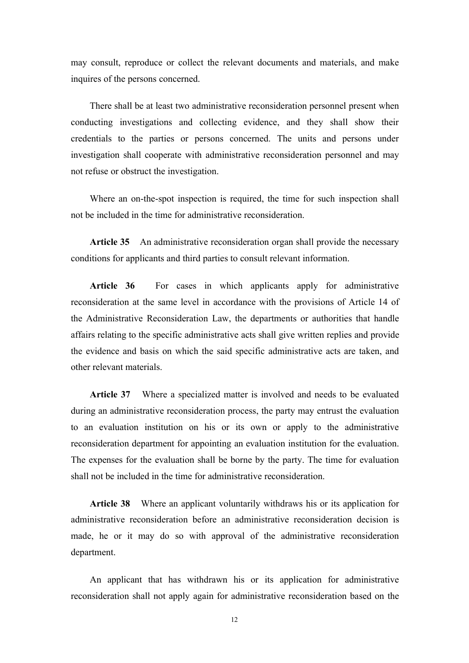may consult, reproduce or collect the relevant documents and materials, and make inquires of the persons concerned.

There shall be at least two administrative reconsideration personnel present when conducting investigations and collecting evidence, and they shall show their credentials to the parties or persons concerned. The units and persons under investigation shall cooperate with administrative reconsideration personnel and may not refuse or obstruct the investigation.

Where an on-the-spot inspection is required, the time for such inspection shall not be included in the time for administrative reconsideration.

**Article 35** An administrative reconsideration organ shall provide the necessary conditions for applicants and third parties to consult relevant information.

**Article 36** For cases in which applicants apply for administrative reconsideration at the same level in accordance with the provisions of Article 14 of the Administrative Reconsideration Law, the departments or authorities that handle affairs relating to the specific administrative acts shallgive written replies and provide the evidence and basis on which the said specific administrative acts are taken, and other relevant materials.

**Article 37** Where a specialized matter is involved and needs to be evaluated during an administrative reconsideration process, the party may entrust the evaluation to an evaluation institution on his or its own or apply to the administrative reconsideration department for appointing an evaluation institution for the evaluation. The expenses for the evaluation shall be borne by the party. The time for evaluation shall not be included in the time for administrative reconsideration.

**Article 38** Where an applicant voluntarily withdraws his or its application for administrative reconsideration before an administrative reconsideration decision is made, he or it may do so with approval of the administrative reconsideration department.

An applicant that has withdrawn his or its application for administrative reconsideration shall not apply again for administrative reconsideration based on the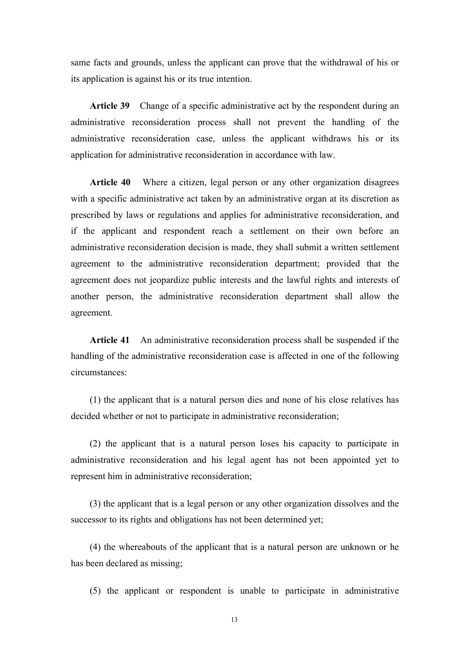same facts and grounds, unless the applicant can prove that the withdrawal of his or its application is against his or its true intention.

**Article 39** Change of a specific administrative act by the respondent during an administrative reconsideration process shall not prevent the handling of the administrative reconsideration case, unless the applicant withdraws his or its application for administrative reconsideration in accordance with law.

**Article 40** Where a citizen, legal person or any other organization disagrees with a specific administrative act taken by an administrative organ at its discretion as prescribed by laws or regulations and applies for administrative reconsideration, and if the applicant and respondent reach a settlement on their own before an administrative reconsideration decision is made, they shall submit a written settlement agreement to the administrative reconsideration department; provided that the agreement does not jeopardize public interests and the lawful rights and interests of another person, the administrative reconsideration department shall allow the agreement.

**Article 41** An administrative reconsideration process shall be suspended if the handling of the administrative reconsideration case is affected in one of the following circumstances:

(1) the applicant that is a natural person dies and none of his close relatives has decided whether or not to participate in administrative reconsideration;

(2) the applicant that is a natural person loses his capacity to participate in administrative reconsideration and his legal agent has not been appointed yet to represent him in administrative reconsideration;

(3) the applicant that is a legal person or any other organization dissolves and the successor to its rights and obligations has not been determined yet;

(4) the whereabouts of the applicant that is a natural person are unknown or he has been declared as missing;

(5) the applicant or respondent is unable to participate in administrative

13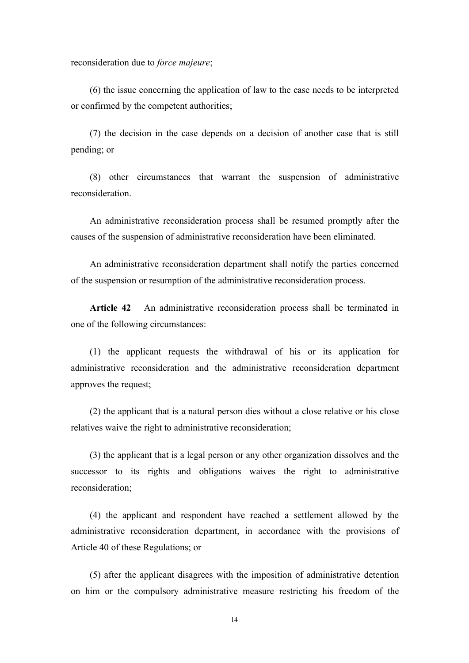reconsideration due to *force majeure*;

(6) the issue concerning the application of law to the case needs to be interpreted or confirmed by the competent authorities;

(7) the decision in the case depends on a decision of another case that is still pending; or

(8) other circumstances that warrant the suspension of administrative reconsideration.

An administrative reconsideration process shall be resumed promptly after the causes of the suspension of administrative reconsideration have been eliminated.<br>An administrative reconsideration department shall notify the parties concerned

of the suspension or resumption of the administrative reconsideration process.

**Article 42** An administrative reconsideration process shall be terminated in one of the following circumstances:

(1) the applicant requests the withdrawal of his or its application for administrative reconsideration and the administrative reconsideration department approves the request;

(2) the applicant that is a natural person dies without a close relative or his close relatives waive the right to administrative reconsideration;

(3) the applicant that is a legal person or any other organization dissolves and the successor to its rights and obligations waives the right to administrative reconsideration;

(4) the applicant and respondent have reached a settlement allowed by the administrative reconsideration department, in accordance with the provisions of Article 40 of these Regulations; or

(5) after the applicant disagrees with the imposition of administrative detention on him or the compulsory administrative measure restricting his freedom of the

14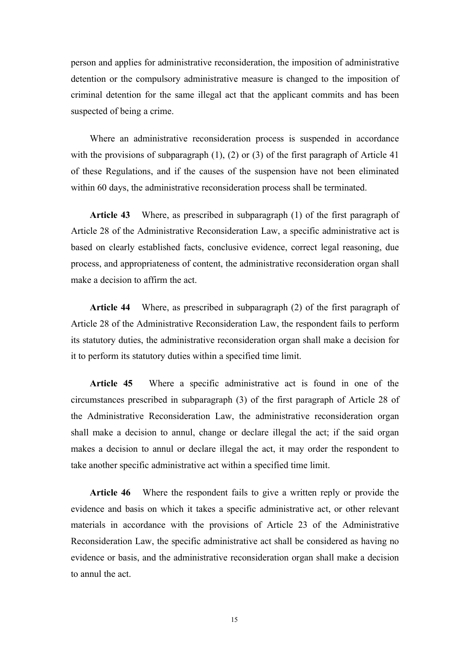person and applies for administrative reconsideration, the imposition of administrative detention or the compulsory administrative measure ischanged to the imposition of criminal detention for the same illegal act that the applicant commits and has been suspected of being a crime.

Where an administrative reconsideration process is suspended in accordance with the provisions of subparagraph  $(1)$ ,  $(2)$  or  $(3)$  of the first paragraph of Article 41 of these Regulations, and if the causes of the suspension have not been eliminated within 60 days, the administrative reconsideration process shall be terminated.

**Article 43** Where, as prescribed in subparagraph (1) of the first paragraph of Article 28 of the Administrative Reconsideration Law, a specific administrative act is based on clearly established facts, conclusive evidence, correct legal reasoning, due process, and appropriateness of content, the administrative reconsideration organ shall make a decision to affirm the act.

**Article 44** Where, as prescribed in subparagraph (2) of the first paragraph of Article 28 of the Administrative Reconsideration Law, the respondent fails to perform its statutory duties, the administrative reconsideration organ shall make a decision for it to perform its statutory duties within a specified time limit.

**Article 45** Where a specific administrative act is found in one of the circumstances prescribed in subparagraph (3) of the first paragraph of Article 28 of the Administrative Reconsideration Law, the administrative reconsideration organ shall make a decision to annul, change or declare illegal the act; if the said organ makes a decision to annul or declare illegal the act, it may order the respondent to take another specific administrative act within a specified time limit.

**Article 46** Where the respondent fails to give a written reply or provide the evidence and basis on which it takes a specific administrative act, or other relevant materials in accordance with the provisions of Article 23 of the Administrative Reconsideration Law, the specific administrative act shall be considered as having no evidence or basis, and the administrative reconsideration organ shall make a decision to annul the act.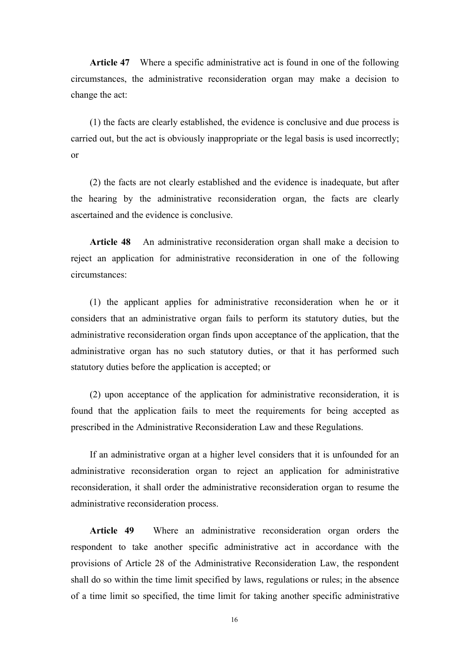**Article 47** Where a specific administrative act is found in one of the following circumstances, the administrative reconsideration organ may make a decision to change the act:

(1) the facts are clearly established, the evidence is conclusive and due process is carried out, but the act is obviously inappropriate or the legal basis is used incorrectly; or

(2) the facts are not clearly established and the evidence is inadequate, but after the hearing by the administrative reconsideration organ, the facts are clearly ascertained and the evidence is conclusive.

**Article 48** An administrative reconsideration organ shall make a decision to reject an application for administrative reconsideration in one of the following circumstances:

(1) the applicant applies for administrative reconsideration when he or it considers that an administrative organ fails to perform its statutory duties, but the administrative reconsideration organ finds upon acceptance of the application, that the administrative organ has no such statutory duties, or that it has performed such statutory duties before the application is accepted; or

(2) upon acceptance of the application for administrative reconsideration, it is found that the application fails to meet the requirements for being accepted as prescribed in the Administrative Reconsideration Law and these Regulations.

If an administrative organ at a higher level considers that it is unfounded for an administrative reconsideration organ to reject an application for administrative reconsideration, it shall order the administrative reconsideration organ to resume the administrative reconsideration process.

**Article 49** Where an administrative reconsideration organ orders the respondent to take another specific administrative act in accordance with the provisions of Article 28 of the Administrative Reconsideration Law, the respondent shall do so within the time limit specified by laws, regulations or rules; in the absence of a time limit so specified, the time limit for taking another specific administrative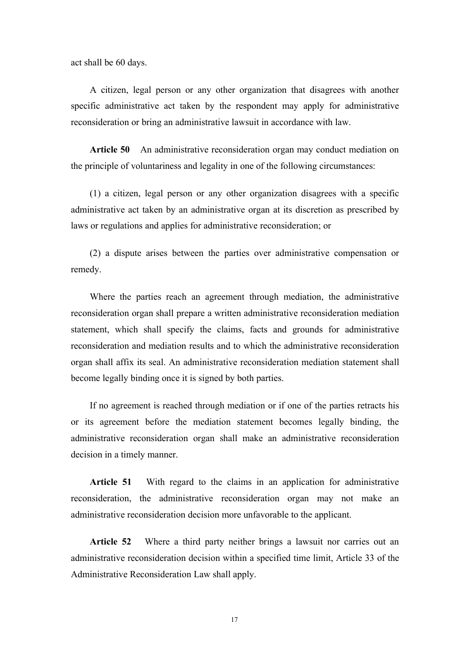act shall be 60 days.

A citizen, legal person or any other organization that disagrees with another specific administrative act taken by the respondent may apply for administrative reconsideration or bring an administrative lawsuit in accordance with law.

**Article 50** An administrative reconsideration organ may conduct mediation on the principle of voluntariness and legality in one of the following circumstances:

(1) a citizen, legal person or any other organization disagrees with a specific administrative act taken by an administrative organ at its discretion as prescribed by laws or regulations and applies for administrative reconsideration; or

(2) a dispute arises between the parties over administrative compensation or remedy.

Where the parties reach an agreement through mediation, the administrative reconsideration organ shall prepare a written administrative reconsideration mediation statement, which shall specify the claims, facts and grounds for administrative reconsideration and mediation results and to which the administrative reconsideration organ shall affix its seal. An administrative reconsideration mediation statement shall become legally binding once it is signed by both parties.

If no agreement is reached through mediation or if one of the parties retracts his or its agreement before the mediation statement becomes legally binding, the administrative reconsideration organ shall make an administrative reconsideration decision in a timely manner.

**Article 51** With regard to the claims in an application for administrative reconsideration, the administrative reconsideration organ may not make an administrative reconsideration decision more unfavorable to the applicant.

**Article 52** Where a third party neither brings a lawsuit nor carries out an administrative reconsideration decision within a specified time limit, Article 33 of the Administrative Reconsideration Law shall apply.

17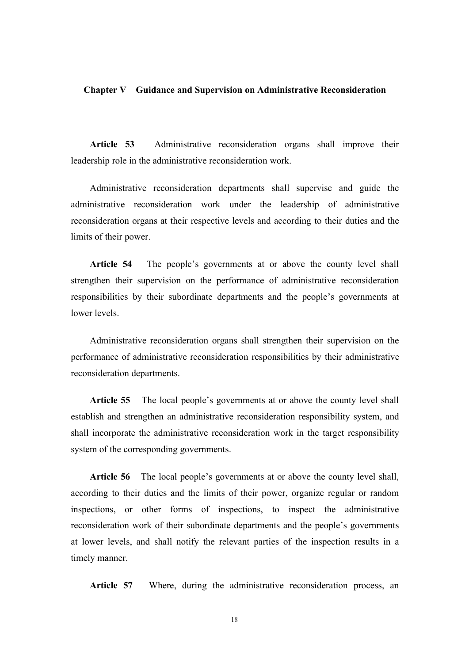#### **Chapter V Guidance and Supervision on Administrative Reconsideration**

**Article 53** Administrative reconsideration organs shall improve their leadership role in the administrative reconsideration work.

Administrative reconsideration departments shall supervise and guide the administrative reconsideration work under the leadership of administrative reconsideration organs at their respective levels and according to their duties and the limits of their power.

**Article 54** The people's governments at or above the county level shall strengthen their supervision on the performance of administrative reconsideration responsibilities by their subordinate departments and the people's governments at lower levels.

Administrative reconsideration organs shall strengthen their supervision on the performance of administrative reconsideration responsibilities by their administrative reconsideration departments.

**Article 55** The local people's governments at or above the county level shall establish and strengthen an administrative reconsideration responsibility system, and shall incorporate the administrative reconsideration work in the target responsibility system of the corresponding governments.

**Article 56** The local people's governments at or above the county level shall, according to their duties and the limits of their power, organize regular or random inspections, or other forms of inspections, to inspect the administrative reconsideration work of their subordinate departments and the people's governments at lower levels, and shall notify the relevant parties of the inspection results in a timely manner.

**Article 57** Where, during the administrative reconsideration process, an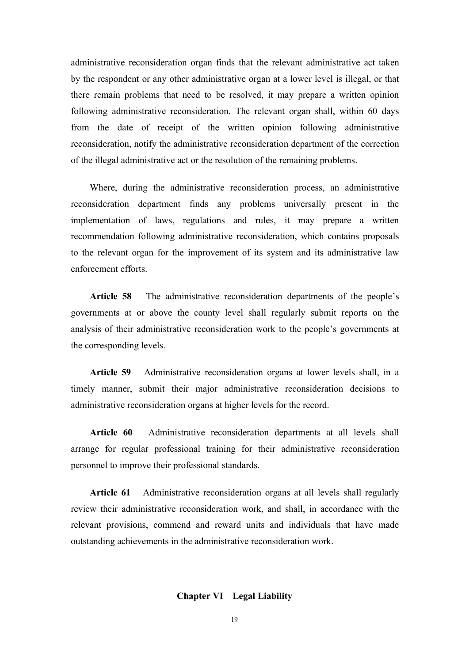administrative reconsideration organ finds that the relevant administrative act taken by the respondent or any other administrative organ at a lower level is illegal, or that there remain problems that need to be resolved, it may prepare a written opinion following administrative reconsideration. The relevant organ shall, within 60 days from the date of receipt of the written opinion following administrative reconsideration, notify the administrative reconsideration department of the correction of the illegal administrative act or the resolution of the remaining problems.

Where, during the administrative reconsideration process, an administrative reconsideration department finds any problems universally present in the implementation of laws, regulations and rules, it may prepare a written recommendation following administrative reconsideration, which contains proposals to the relevant organ for the improvement of its system and its administrative law enforcement efforts.

**Article 58** The administrative reconsideration departments of the people's governments at or above the county level shall regularly submit reports on the analysis of their administrative reconsideration work to the people's governments at the corresponding levels.

Article 59 Administrative reconsideration organs at lower levels shall, in a timely manner, submit their major administrative reconsideration decisions to administrative reconsideration organs at higher levels for the record.

**Article 60** Administrative reconsideration departments at all levels shall arrange for regular professional training for their administrative reconsideration personnel to improve their professional standards.

**Article 61** Administrative reconsideration organs at all levels shall regularly review their administrative reconsideration work, and shall, in accordance with the relevant provisions, commend and reward units and individuals that have made outstanding achievements in the administrative reconsideration work.

#### **Chapter VI Legal Liability**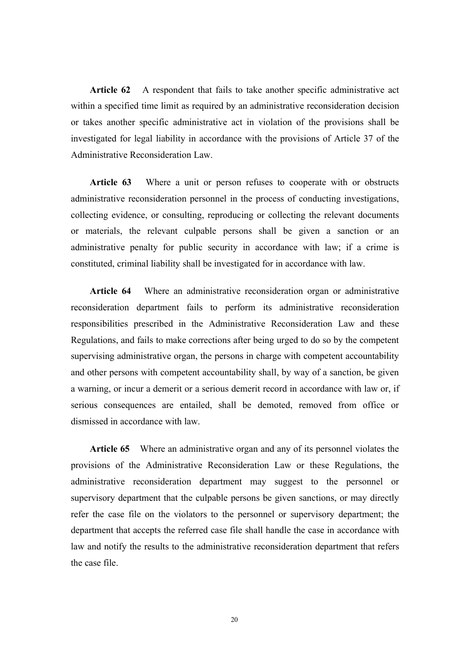**Article 62** A respondent that fails to take another specific administrative act within a specified time limit as required by an administrative reconsideration decision or takes another specific administrative act in violation of the provisions shall be investigated for legal liability in accordance with the provisions of Article 37 of the Administrative Reconsideration Law.

**Article 63** Where a unit or person refuses to cooperate with or obstructs administrative reconsideration personnel in the process of conducting investigations, collecting evidence, or consulting, reproducing or collecting the relevant documents or materials, the relevant culpable persons shall be given a sanction or an administrative penalty for public security in accordance with law; if a crime is constituted, criminal liability shall be investigated for in accordance with law.

**Article 64** Where an administrative reconsideration organ or administrative reconsideration department fails to perform its administrative reconsideration responsibilities prescribed in the Administrative Reconsideration Law and these Regulations, and fails to make corrections after being urged to do so by the competent supervising administrative organ, the persons in charge with competent accountability and other persons with competent accountability shall, by way of a sanction, be given a warning, or incur a demerit or a serious demerit record in accordance with law or, if serious consequences are entailed, shall be demoted, removed from office or dismissed in accordance with law.

**Article 65** Where an administrative organ and any of its personnel violates the provisions of the Administrative Reconsideration Law or these Regulations, the administrative reconsideration department may suggest to the personnel or supervisory department that the culpable persons be given sanctions, or may directly refer the case file on the violators to the personnel or supervisory department; the department that accepts the referred case file shall handle the case in accordance with law and notify the results to the administrative reconsideration department that refers the case file.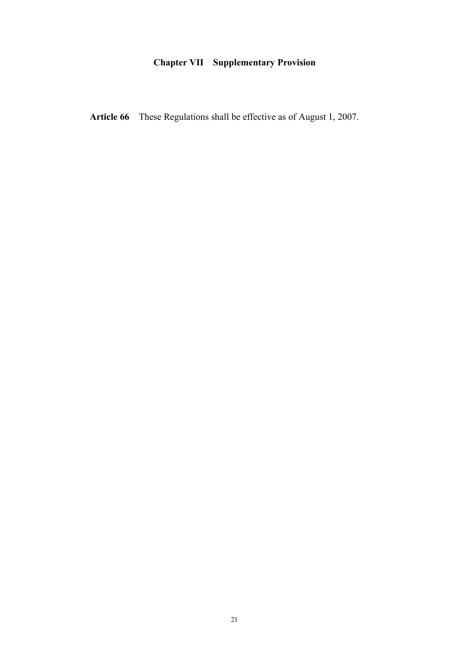## **Chapter VII Supplementary Provision**

Article 66 These Regulations shall be effective as of August 1, 2007.